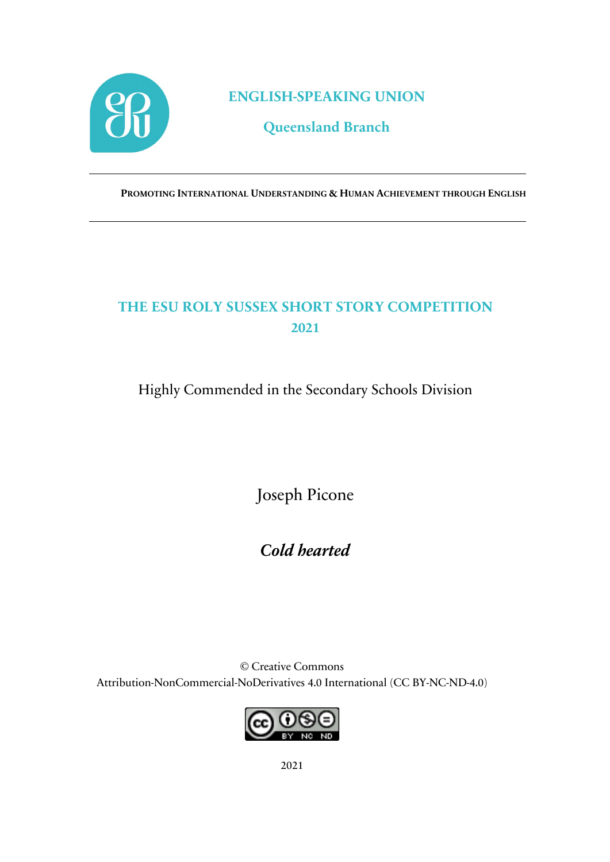

**ENGLISH-SPEAKING UNION**

**Queensland Branch**

**PROMOTING INTERNATIONAL UNDERSTANDING & HUMAN ACHIEVEMENT THROUGH ENGLISH**

## **THE ESU ROLY SUSSEX SHORT STORY COMPETITION 2021**

Highly Commended in the Secondary Schools Division

Joseph Picone

*Cold hearted*

© Creative Commons Attribution-NonCommercial-NoDerivatives 4.0 International (CC BY-NC-ND-4.0)

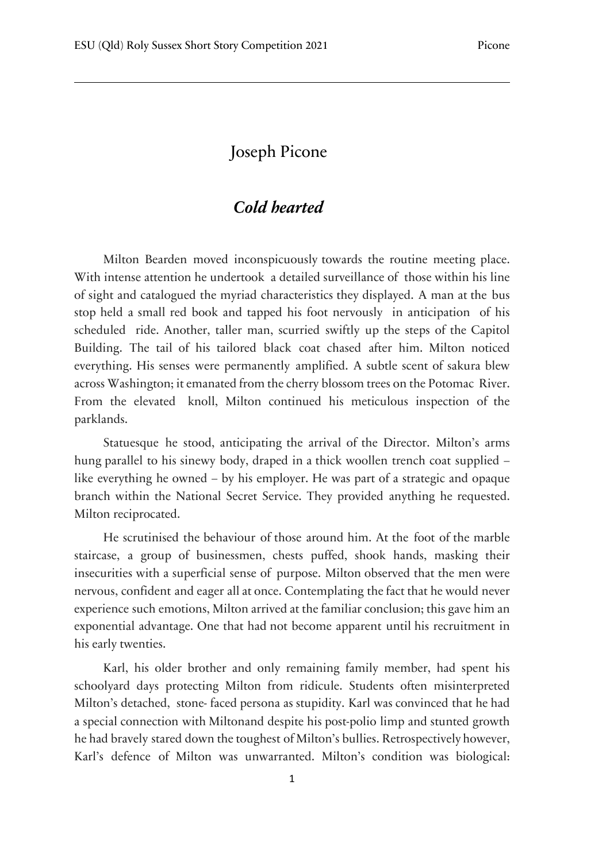## Joseph Picone

## *Cold hearted*

Milton Bearden moved inconspicuously towards the routine meeting place. With intense attention he undertook a detailed surveillance of those within his line of sight and catalogued the myriad characteristics they displayed. A man at the bus stop held a small red book and tapped his foot nervously in anticipation of his scheduled ride. Another, taller man, scurried swiftly up the steps of the Capitol Building. The tail of his tailored black coat chased after him. Milton noticed everything. His senses were permanently amplified. A subtle scent of sakura blew across Washington; it emanated from the cherry blossom trees on the Potomac River. From the elevated knoll, Milton continued his meticulous inspection of the parklands.

Statuesque he stood, anticipating the arrival of the Director. Milton's arms hung parallel to his sinewy body, draped in a thick woollen trench coat supplied – like everything he owned – by his employer. He was part of a strategic and opaque branch within the National Secret Service. They provided anything he requested. Milton reciprocated.

He scrutinised the behaviour of those around him. At the foot of the marble staircase, a group of businessmen, chests puffed, shook hands, masking their insecurities with a superficial sense of purpose. Milton observed that the men were nervous, confident and eager all at once. Contemplating the fact that he would never experience such emotions, Milton arrived at the familiar conclusion; this gave him an exponential advantage. One that had not become apparent until his recruitment in his early twenties.

Karl, his older brother and only remaining family member, had spent his schoolyard days protecting Milton from ridicule. Students often misinterpreted Milton's detached, stone faced persona as stupidity. Karl was convinced that he had a special connection with Miltonand despite his post-polio limp and stunted growth he had bravely stared down the toughest of Milton's bullies. Retrospectively however, Karl's defence of Milton was unwarranted. Milton's condition was biological: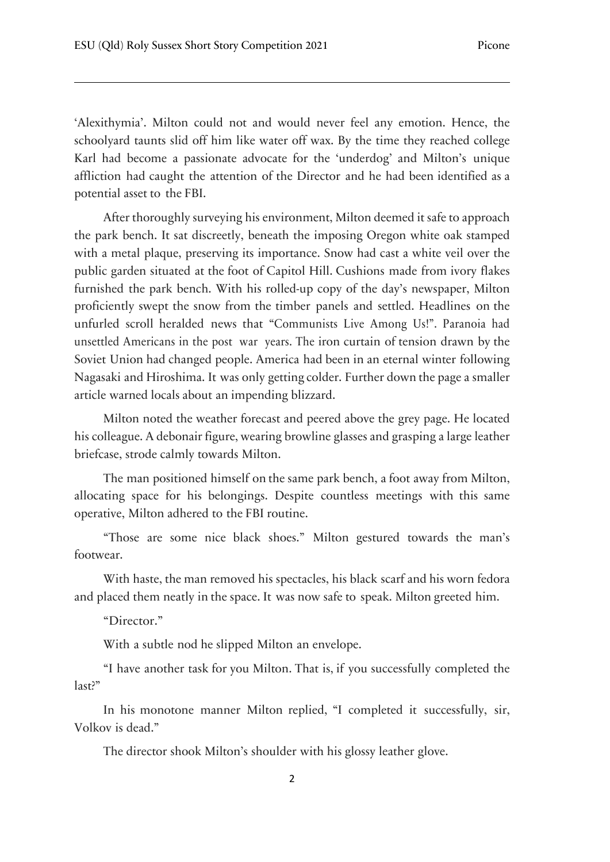'Alexithymia'. Milton could not and would never feel any emotion. Hence, the schoolyard taunts slid off him like water off wax. By the time they reached college Karl had become a passionate advocate for the 'underdog' and Milton's unique affliction had caught the attention of the Director and he had been identified as a potential asset to the FBI.

After thoroughly surveying his environment, Milton deemed it safe to approach the park bench. It sat discreetly, beneath the imposing Oregon white oak stamped with a metal plaque, preserving its importance. Snow had cast a white veil over the public garden situated at the foot of Capitol Hill. Cushions made from ivory flakes furnished the park bench. With his rolled-up copy of the day's newspaper, Milton proficiently swept the snow from the timber panels and settled. Headlines on the unfurled scroll heralded news that "Communists Live Among Us!". Paranoia had unsettled Americans in the post war years. The iron curtain of tension drawn by the Soviet Union had changed people. America had been in an eternal winter following Nagasaki and Hiroshima. It was only getting colder. Further down the page a smaller article warned locals about an impending blizzard.

Milton noted the weather forecast and peered above the grey page. He located his colleague. A debonair figure, wearing browline glasses and grasping a large leather briefcase, strode calmly towards Milton.

The man positioned himself on the same park bench, a foot away from Milton, allocating space for his belongings. Despite countless meetings with this same operative, Milton adhered to the FBI routine.

"Those are some nice black shoes." Milton gestured towards the man's footwear.

With haste, the man removed his spectacles, his black scarf and his worn fedora and placed them neatly in the space. It was now safe to speak. Milton greeted him.

"Director."

With a subtle nod he slipped Milton an envelope.

"I have another task for you Milton. That is, if you successfully completed the last?"

In his monotone manner Milton replied, "I completed it successfully, sir, Volkov is dead."

The director shook Milton's shoulder with his glossy leather glove.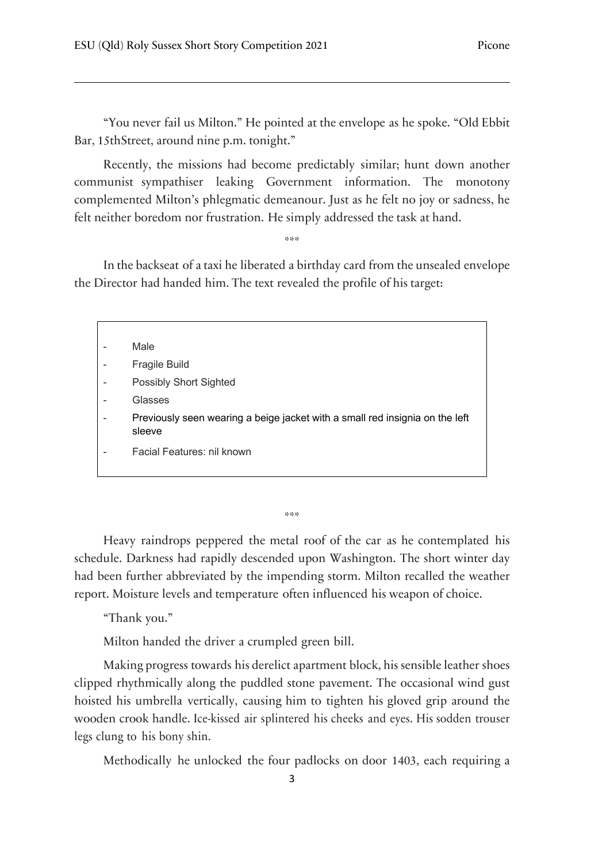"You never fail us Milton." He pointed at the envelope as he spoke. "Old Ebbit Bar, 15thStreet, around nine p.m. tonight."

Recently, the missions had become predictably similar; hunt down another communist sympathiser leaking Government information. The monotony complemented Milton's phlegmatic demeanour. Just as he felt no joy or sadness, he felt neither boredom nor frustration. He simply addressed the task at hand.

\*\*\*

In the backseat of a taxi he liberated a birthday card from the unsealed envelope the Director had handed him. The text revealed the profile of his target:

| Male                                                                                   |
|----------------------------------------------------------------------------------------|
| <b>Fragile Build</b>                                                                   |
| <b>Possibly Short Sighted</b>                                                          |
| Glasses                                                                                |
| Previously seen wearing a beige jacket with a small red insignia on the left<br>sleeve |
| Facial Features: nil known                                                             |
|                                                                                        |

\*\*\*

Heavy raindrops peppered the metal roof of the car as he contemplated his schedule. Darkness had rapidly descended upon Washington. The short winter day had been further abbreviated by the impending storm. Milton recalled the weather report. Moisture levels and temperature often influenced his weapon of choice.

"Thank you."

Milton handed the driver a crumpled green bill.

Making progress towards his derelict apartment block, his sensible leather shoes clipped rhythmically along the puddled stone pavement. The occasional wind gust hoisted his umbrella vertically, causing him to tighten his gloved grip around the wooden crook handle. Ice-kissed air splintered his cheeks and eyes. His sodden trouser legs clung to his bony shin.

Methodically he unlocked the four padlocks on door 1403, each requiring a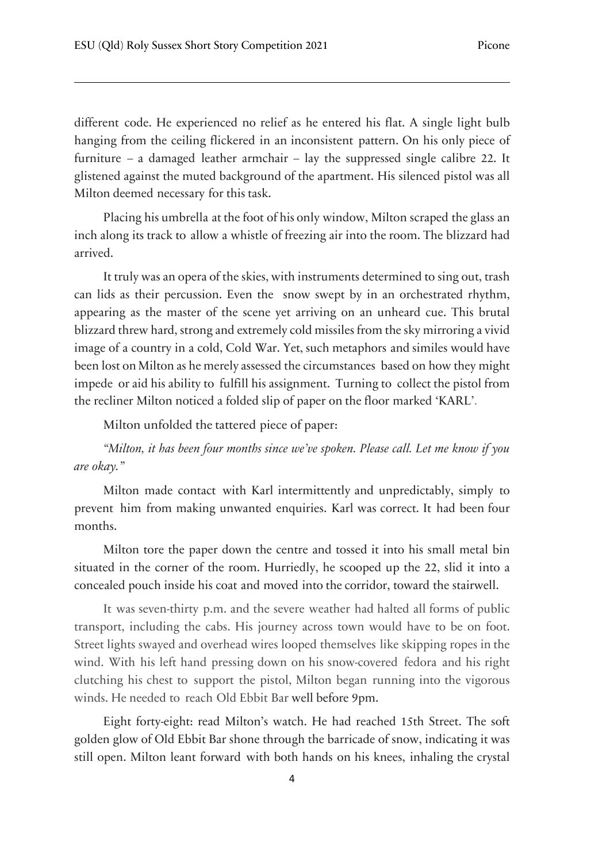different code. He experienced no relief as he entered his flat. A single light bulb hanging from the ceiling flickered in an inconsistent pattern. On his only piece of furniture – a damaged leather armchair – lay the suppressed single calibre 22. It glistened against the muted background of the apartment. His silenced pistol was all Milton deemed necessary for this task.

Placing his umbrella at the foot of his only window, Milton scraped the glass an inch along its track to allow a whistle of freezing air into the room. The blizzard had arrived.

It truly was an opera of the skies, with instruments determined to sing out, trash can lids as their percussion. Even the snow swept by in an orchestrated rhythm, appearing as the master of the scene yet arriving on an unheard cue. This brutal blizzard threw hard, strong and extremely cold missiles from the sky mirroring a vivid image of a country in a cold, Cold War. Yet, such metaphors and similes would have been lost on Milton as he merely assessed the circumstances based on how they might impede or aid his ability to fulfill his assignment. Turning to collect the pistol from the recliner Milton noticed a folded slip of paper on the floor marked 'KARL'.

Milton unfolded the tattered piece of paper:

*"Milton, it has been four months since we've spoken. Please call. Let me know if you are okay."*

Milton made contact with Karl intermittently and unpredictably, simply to prevent him from making unwanted enquiries. Karl was correct. It had been four months.

Milton tore the paper down the centre and tossed it into his small metal bin situated in the corner of the room. Hurriedly, he scooped up the 22, slid it into a concealed pouch inside his coat and moved into the corridor, toward the stairwell.

It was seven-thirty p.m. and the severe weather had halted all forms of public transport, including the cabs. His journey across town would have to be on foot. Street lights swayed and overhead wires looped themselves like skipping ropes in the wind. With his left hand pressing down on his snow-covered fedora and his right clutching his chest to support the pistol, Milton began running into the vigorous winds. He needed to reach Old Ebbit Bar well before 9pm.

Eight forty-eight: read Milton's watch. He had reached 15th Street. The soft golden glow of Old Ebbit Bar shone through the barricade of snow, indicating it was still open. Milton leant forward with both hands on his knees, inhaling the crystal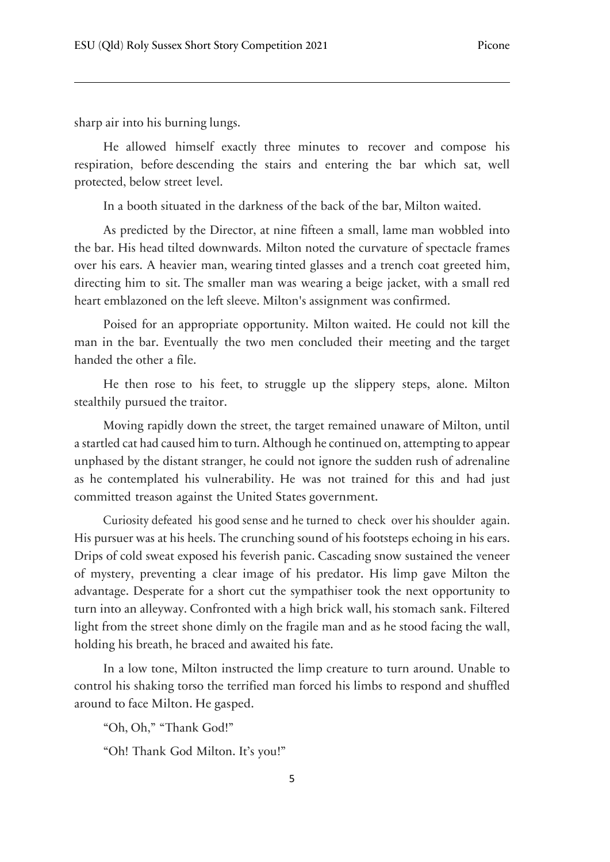sharp air into his burning lungs.

He allowed himself exactly three minutes to recover and compose his respiration, before descending the stairs and entering the bar which sat, well protected, below street level.

In a booth situated in the darkness of the back of the bar, Milton waited.

As predicted by the Director, at nine fifteen a small, lame man wobbled into the bar. His head tilted downwards. Milton noted the curvature of spectacle frames over his ears. A heavier man, wearing tinted glasses and a trench coat greeted him, directing him to sit. The smaller man was wearing a beige jacket, with a small red heart emblazoned on the left sleeve. Milton's assignment was confirmed.

Poised for an appropriate opportunity. Milton waited. He could not kill the man in the bar. Eventually the two men concluded their meeting and the target handed the other a file.

He then rose to his feet, to struggle up the slippery steps, alone. Milton stealthily pursued the traitor.

Moving rapidly down the street, the target remained unaware of Milton, until a startled cat had caused him to turn. Although he continued on, attempting to appear unphased by the distant stranger, he could not ignore the sudden rush of adrenaline as he contemplated his vulnerability. He was not trained for this and had just committed treason against the United States government.

Curiosity defeated his good sense and he turned to check over his shoulder again. His pursuer was at his heels. The crunching sound of his footsteps echoing in his ears. Drips of cold sweat exposed his feverish panic. Cascading snow sustained the veneer of mystery, preventing a clear image of his predator. His limp gave Milton the advantage. Desperate for a short cut the sympathiser took the next opportunity to turn into an alleyway. Confronted with a high brick wall, his stomach sank. Filtered light from the street shone dimly on the fragile man and as he stood facing the wall, holding his breath, he braced and awaited his fate.

In a low tone, Milton instructed the limp creature to turn around. Unable to control his shaking torso the terrified man forced his limbs to respond and shuffled around to face Milton. He gasped.

"Oh, Oh," "Thank God!"

"Oh! Thank God Milton. It's you!"